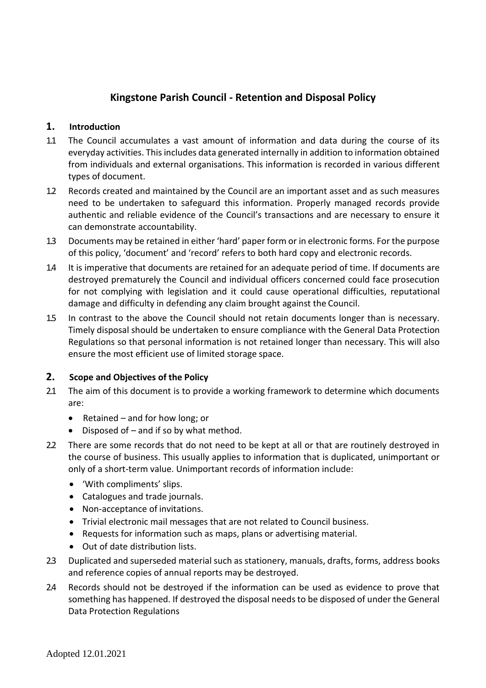# **Kingstone Parish Council - Retention and Disposal Policy**

### **1. Introduction**

- 1.1 The Council accumulates a vast amount of information and data during the course of its everyday activities. This includes data generated internally in addition to information obtained from individuals and external organisations. This information is recorded in various different types of document.
- 1.2 Records created and maintained by the Council are an important asset and as such measures need to be undertaken to safeguard this information. Properly managed records provide authentic and reliable evidence of the Council's transactions and are necessary to ensure it can demonstrate accountability.
- 1.3 Documents may be retained in either 'hard' paper form or in electronic forms. For the purpose of this policy, 'document' and 'record' refers to both hard copy and electronic records.
- 1.4 It is imperative that documents are retained for an adequate period of time. If documents are destroyed prematurely the Council and individual officers concerned could face prosecution for not complying with legislation and it could cause operational difficulties, reputational damage and difficulty in defending any claim brought against the Council.
- 1.5 In contrast to the above the Council should not retain documents longer than is necessary. Timely disposal should be undertaken to ensure compliance with the General Data Protection Regulations so that personal information is not retained longer than necessary. This will also ensure the most efficient use of limited storage space.

#### **2. Scope and Objectives of the Policy**

- 2.1 The aim of this document is to provide a working framework to determine which documents are:
	- Retained and for how long; or
	- Disposed of  $-$  and if so by what method.
- 2.2 There are some records that do not need to be kept at all or that are routinely destroyed in the course of business. This usually applies to information that is duplicated, unimportant or only of a short-term value. Unimportant records of information include:
	- 'With compliments' slips.
	- Catalogues and trade journals.
	- Non-acceptance of invitations.
	- Trivial electronic mail messages that are not related to Council business.
	- Requests for information such as maps, plans or advertising material.
	- Out of date distribution lists.
- 2.3 Duplicated and superseded material such as stationery, manuals, drafts, forms, address books and reference copies of annual reports may be destroyed.
- 2.4 Records should not be destroyed if the information can be used as evidence to prove that something has happened. If destroyed the disposal needs to be disposed of under the General Data Protection Regulations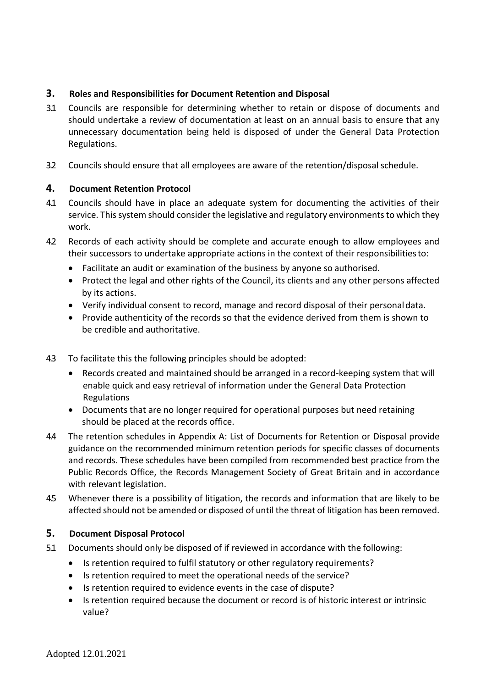## **3. Roles and Responsibilities for Document Retention and Disposal**

- 3.1 Councils are responsible for determining whether to retain or dispose of documents and should undertake a review of documentation at least on an annual basis to ensure that any unnecessary documentation being held is disposed of under the General Data Protection Regulations.
- 3.2 Councils should ensure that all employees are aware of the retention/disposal schedule.

## **4. Document Retention Protocol**

- 4.1 Councils should have in place an adequate system for documenting the activities of their service. This system should consider the legislative and regulatory environments to which they work.
- 4.2 Records of each activity should be complete and accurate enough to allow employees and their successors to undertake appropriate actions in the context of their responsibilitiesto:
	- Facilitate an audit or examination of the business by anyone so authorised.
	- Protect the legal and other rights of the Council, its clients and any other persons affected by its actions.
	- Verify individual consent to record, manage and record disposal of their personaldata.
	- Provide authenticity of the records so that the evidence derived from them is shown to be credible and authoritative.
- 4.3 To facilitate this the following principles should be adopted:
	- Records created and maintained should be arranged in a record-keeping system that will enable quick and easy retrieval of information under the General Data Protection Regulations
	- Documents that are no longer required for operational purposes but need retaining should be placed at the records office.
- 4.4 The retention schedules in Appendix A: List of Documents for Retention or Disposal provide guidance on the recommended minimum retention periods for specific classes of documents and records. These schedules have been compiled from recommended best practice from the Public Records Office, the Records Management Society of Great Britain and in accordance with relevant legislation.
- 4.5 Whenever there is a possibility of litigation, the records and information that are likely to be affected should not be amended or disposed of until the threat of litigation has been removed.

#### **5. Document Disposal Protocol**

- 5.1 Documents should only be disposed of if reviewed in accordance with the following:
	- Is retention required to fulfil statutory or other regulatory requirements?
	- Is retention required to meet the operational needs of the service?
	- Is retention required to evidence events in the case of dispute?
	- Is retention required because the document or record is of historic interest or intrinsic value?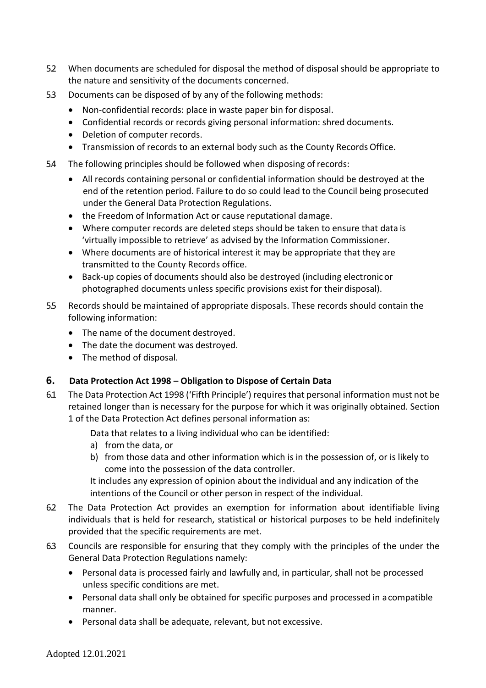- 5.2 When documents are scheduled for disposal the method of disposal should be appropriate to the nature and sensitivity of the documents concerned.
- 5.3 Documents can be disposed of by any of the following methods:
	- Non-confidential records: place in waste paper bin for disposal.
	- Confidential records or records giving personal information: shred documents.
	- Deletion of computer records.
	- Transmission of records to an external body such as the County Records Office.
- 5.4 The following principles should be followed when disposing ofrecords:
	- All records containing personal or confidential information should be destroyed at the end of the retention period. Failure to do so could lead to the Council being prosecuted under the General Data Protection Regulations.
	- the Freedom of Information Act or cause reputational damage.
	- Where computer records are deleted steps should be taken to ensure that data is 'virtually impossible to retrieve' as advised by the Information Commissioner.
	- Where documents are of historical interest it may be appropriate that they are transmitted to the County Records office.
	- Back-up copies of documents should also be destroyed (including electronicor photographed documents unless specific provisions exist for their disposal).
- 5.5 Records should be maintained of appropriate disposals. These records should contain the following information:
	- The name of the document destroyed.
	- The date the document was destroyed.
	- The method of disposal.

## **6. Data Protection Act 1998 – Obligation to Dispose of Certain Data**

6.1 The Data Protection Act 1998 ('Fifth Principle') requires that personal information must not be retained longer than is necessary for the purpose for which it was originally obtained. Section 1 of the Data Protection Act defines personal information as:

Data that relates to a living individual who can be identified:

- a) from the data, or
- b) from those data and other information which is in the possession of, or is likely to come into the possession of the data controller.

It includes any expression of opinion about the individual and any indication of the intentions of the Council or other person in respect of the individual.

- 6.2 The Data Protection Act provides an exemption for information about identifiable living individuals that is held for research, statistical or historical purposes to be held indefinitely provided that the specific requirements are met.
- 6.3 Councils are responsible for ensuring that they comply with the principles of the under the General Data Protection Regulations namely:
	- Personal data is processed fairly and lawfully and, in particular, shall not be processed unless specific conditions are met.
	- Personal data shall only be obtained for specific purposes and processed in acompatible manner.
	- Personal data shall be adequate, relevant, but not excessive.